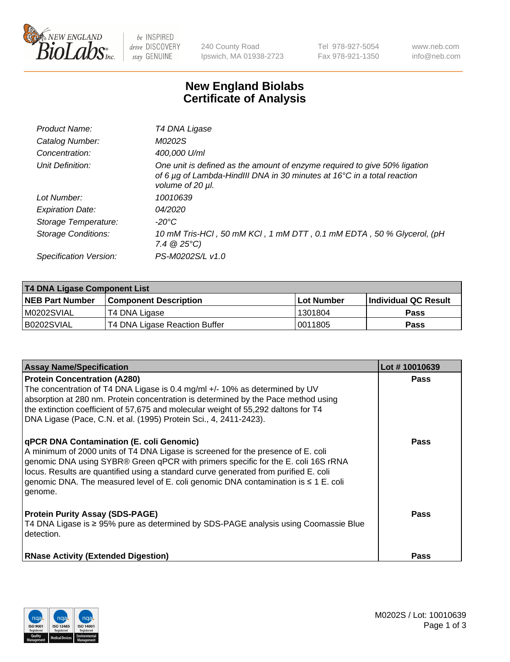

 $be$  INSPIRED drive DISCOVERY stay GENUINE

240 County Road Ipswich, MA 01938-2723 Tel 978-927-5054 Fax 978-921-1350 www.neb.com info@neb.com

## **New England Biolabs Certificate of Analysis**

| Product Name:              | T4 DNA Ligase                                                                                                                                                            |
|----------------------------|--------------------------------------------------------------------------------------------------------------------------------------------------------------------------|
| Catalog Number:            | M0202S                                                                                                                                                                   |
| Concentration:             | 400,000 U/ml                                                                                                                                                             |
| Unit Definition:           | One unit is defined as the amount of enzyme required to give 50% ligation<br>of 6 µg of Lambda-HindIII DNA in 30 minutes at 16°C in a total reaction<br>volume of 20 µl. |
| Lot Number:                | 10010639                                                                                                                                                                 |
| <b>Expiration Date:</b>    | 04/2020                                                                                                                                                                  |
| Storage Temperature:       | -20°C                                                                                                                                                                    |
| <b>Storage Conditions:</b> | 10 mM Tris-HCl, 50 mM KCl, 1 mM DTT, 0.1 mM EDTA, 50 % Glycerol, (pH<br>$7.4 \ @ 25^{\circ}C$                                                                            |
| Specification Version:     | PS-M0202S/L v1.0                                                                                                                                                         |
|                            |                                                                                                                                                                          |

| <b>T4 DNA Ligase Component List</b> |                               |                   |                      |  |
|-------------------------------------|-------------------------------|-------------------|----------------------|--|
| <b>NEB Part Number</b>              | <b>Component Description</b>  | <b>Lot Number</b> | Individual QC Result |  |
| M0202SVIAL                          | T4 DNA Ligase                 | 1301804           | <b>Pass</b>          |  |
| B0202SVIAL                          | T4 DNA Ligase Reaction Buffer | 10011805          | <b>Pass</b>          |  |

| <b>Assay Name/Specification</b>                                                                                                                                                                                                                                                                                                                                                                                    | Lot #10010639 |
|--------------------------------------------------------------------------------------------------------------------------------------------------------------------------------------------------------------------------------------------------------------------------------------------------------------------------------------------------------------------------------------------------------------------|---------------|
| <b>Protein Concentration (A280)</b><br>The concentration of T4 DNA Ligase is 0.4 mg/ml +/- 10% as determined by UV<br>absorption at 280 nm. Protein concentration is determined by the Pace method using<br>the extinction coefficient of 57,675 and molecular weight of 55,292 daltons for T4<br>DNA Ligase (Pace, C.N. et al. (1995) Protein Sci., 4, 2411-2423).                                                | <b>Pass</b>   |
| <b>qPCR DNA Contamination (E. coli Genomic)</b><br>A minimum of 2000 units of T4 DNA Ligase is screened for the presence of E. coli<br>genomic DNA using SYBR® Green qPCR with primers specific for the E. coli 16S rRNA<br>locus. Results are quantified using a standard curve generated from purified E. coli<br>genomic DNA. The measured level of E. coli genomic DNA contamination is ≤ 1 E. coli<br>genome. | <b>Pass</b>   |
| <b>Protein Purity Assay (SDS-PAGE)</b><br>T4 DNA Ligase is ≥ 95% pure as determined by SDS-PAGE analysis using Coomassie Blue<br>detection.                                                                                                                                                                                                                                                                        | Pass          |
| <b>RNase Activity (Extended Digestion)</b>                                                                                                                                                                                                                                                                                                                                                                         | <b>Pass</b>   |

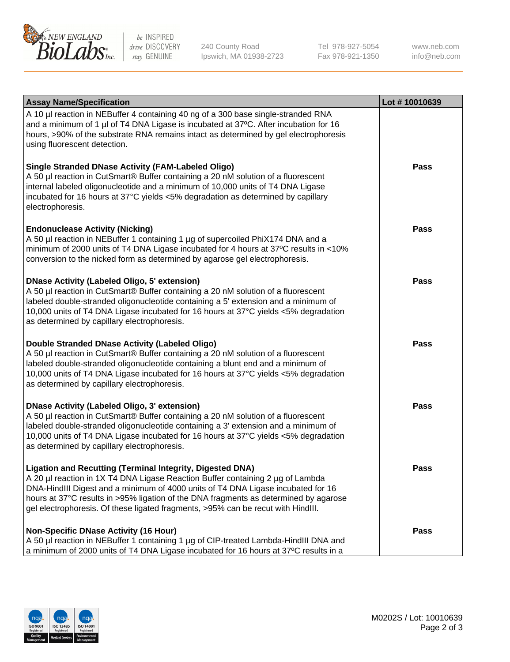

be INSPIRED drive DISCOVERY stay GENUINE

240 County Road Ipswich, MA 01938-2723 Tel 978-927-5054 Fax 978-921-1350 www.neb.com info@neb.com

| <b>Assay Name/Specification</b>                                                                                                                                                                                                                                                                                                                                                                                    | Lot #10010639 |
|--------------------------------------------------------------------------------------------------------------------------------------------------------------------------------------------------------------------------------------------------------------------------------------------------------------------------------------------------------------------------------------------------------------------|---------------|
| A 10 µl reaction in NEBuffer 4 containing 40 ng of a 300 base single-stranded RNA<br>and a minimum of 1 µl of T4 DNA Ligase is incubated at 37°C. After incubation for 16<br>hours, >90% of the substrate RNA remains intact as determined by gel electrophoresis<br>using fluorescent detection.                                                                                                                  |               |
| <b>Single Stranded DNase Activity (FAM-Labeled Oligo)</b><br>A 50 µl reaction in CutSmart® Buffer containing a 20 nM solution of a fluorescent<br>internal labeled oligonucleotide and a minimum of 10,000 units of T4 DNA Ligase<br>incubated for 16 hours at 37°C yields <5% degradation as determined by capillary<br>electrophoresis.                                                                          | <b>Pass</b>   |
| <b>Endonuclease Activity (Nicking)</b><br>A 50 µl reaction in NEBuffer 1 containing 1 µg of supercoiled PhiX174 DNA and a<br>minimum of 2000 units of T4 DNA Ligase incubated for 4 hours at 37°C results in <10%<br>conversion to the nicked form as determined by agarose gel electrophoresis.                                                                                                                   | <b>Pass</b>   |
| <b>DNase Activity (Labeled Oligo, 5' extension)</b><br>A 50 µl reaction in CutSmart® Buffer containing a 20 nM solution of a fluorescent<br>labeled double-stranded oligonucleotide containing a 5' extension and a minimum of<br>10,000 units of T4 DNA Ligase incubated for 16 hours at 37°C yields <5% degradation<br>as determined by capillary electrophoresis.                                               | <b>Pass</b>   |
| Double Stranded DNase Activity (Labeled Oligo)<br>A 50 µl reaction in CutSmart® Buffer containing a 20 nM solution of a fluorescent<br>labeled double-stranded oligonucleotide containing a blunt end and a minimum of<br>10,000 units of T4 DNA Ligase incubated for 16 hours at 37°C yields <5% degradation<br>as determined by capillary electrophoresis.                                                       | <b>Pass</b>   |
| <b>DNase Activity (Labeled Oligo, 3' extension)</b><br>A 50 µl reaction in CutSmart® Buffer containing a 20 nM solution of a fluorescent<br>labeled double-stranded oligonucleotide containing a 3' extension and a minimum of<br>10,000 units of T4 DNA Ligase incubated for 16 hours at 37°C yields <5% degradation<br>as determined by capillary electrophoresis.                                               | <b>Pass</b>   |
| <b>Ligation and Recutting (Terminal Integrity, Digested DNA)</b><br>A 20 µl reaction in 1X T4 DNA Ligase Reaction Buffer containing 2 µg of Lambda<br>DNA-HindIII Digest and a minimum of 4000 units of T4 DNA Ligase incubated for 16<br>hours at 37°C results in >95% ligation of the DNA fragments as determined by agarose<br>gel electrophoresis. Of these ligated fragments, >95% can be recut with HindIII. | <b>Pass</b>   |
| <b>Non-Specific DNase Activity (16 Hour)</b><br>A 50 µl reaction in NEBuffer 1 containing 1 µg of CIP-treated Lambda-HindIII DNA and<br>a minimum of 2000 units of T4 DNA Ligase incubated for 16 hours at 37°C results in a                                                                                                                                                                                       | <b>Pass</b>   |